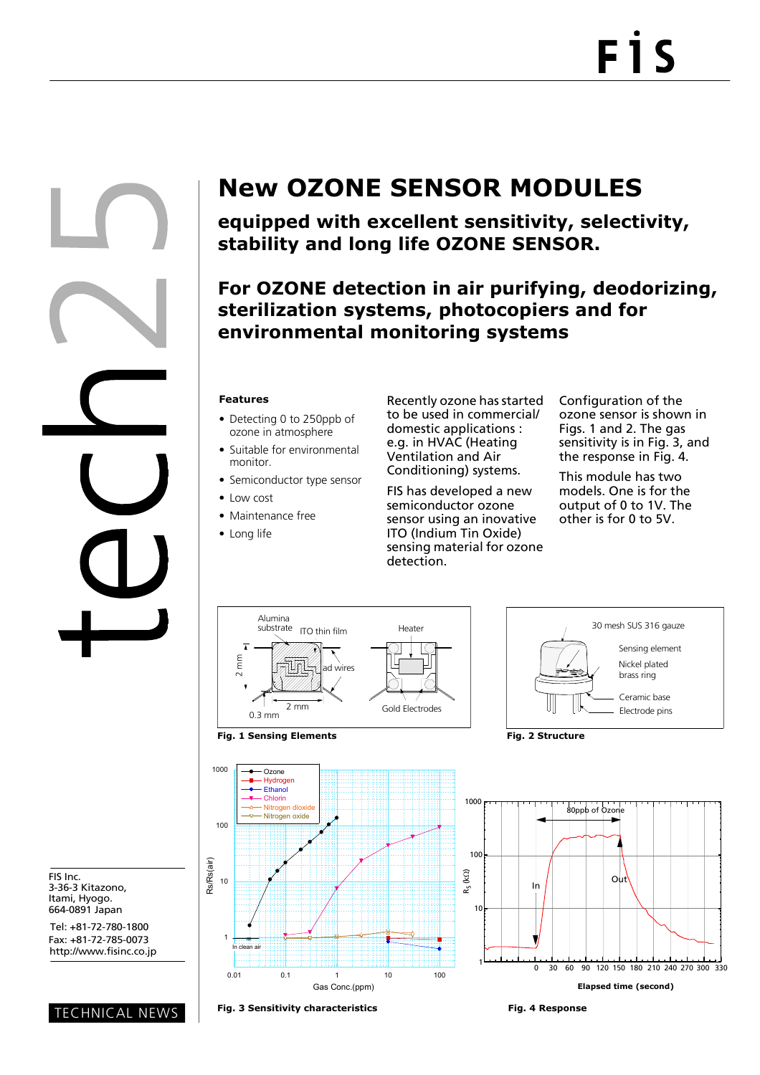

FIS Inc. 3-36-3 Kitazono, Itami, Hyogo. 664-0891 Japan

Tel: +81-72-780-1800 Fax: +81-72-785-0073 http://www.fisinc.co.jp

TECHNICAL NEWS

## **New OZONE SENSOR MODULES**

**equipped with excellent sensitivity, selectivity, stability and long life OZONE SENSOR.**

**For OZONE detection in air purifying, deodorizing, sterilization systems, photocopiers and for environmental monitoring systems**

## **Features**

- Detecting 0 to 250ppb of ozone in atmosphere
- Suitable for environmental monitor.
- Semiconductor type sensor
- Low cost
- Maintenance free
- Long life

Recently ozone has started to be used in commercial/ domestic applications : e.g. in HVAC (Heating Ventilation and Air Conditioning) systems.

FIS has developed a new semiconductor ozone sensor using an inovative ITO (Indium Tin Oxide) sensing material for ozone detection.

Configuration of the ozone sensor is shown in Figs. 1 and 2. The gas sensitivity is in Fig. 3, and the response in Fig. 4.

This module has two models. One is for the output of 0 to 1V. The other is for 0 to 5V.







**Fig. 3 Sensitivity characteristics Fig. 4 Response**

Gas Conc.(ppm)

1

œ In clean air

10

Rs/Rs(air)

100

1000

Ozone Hydroge Ethanol Chlorin Nitrogen diox Nitrogen oxide